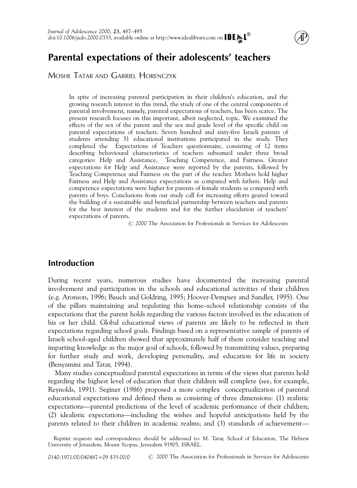

# Parental expectations of their adolescents' teachers

MOSHE TATAR AND GABRIEL HORENCZYK

In spite of increasing parental participation in their children's education, and the growing research interest in this trend, the study of one of the central components of parental involvement, namely, parental expectations of teachers, has been scarce. The present research focuses on this important, albeit neglected, topic. We examined the effects of the sex of the parent and the sex and grade level of the specific child on parental expectations of teachers. Seven hundred and sixty-five Israeli parents of students attending 31 educational institutions participated in the study. They completed the Expectations of Teachers questionnaire, consisting of 12 items describing behavioural characteristics of teachers subsumed under three broad categories: Help and Assistance, Teaching Competence, and Fairness. Greater expectations for Help and Assistance were reported by the parents, followed by Teaching Competence and Fairness on the part of the teacher. Mothers hold higher Fairness and Help and Assistance expectations as compared with fathers. Help and competence expectations were higher for parents of female students as compared with parents of boys. Conclusions from our study call for increasing efforts geared toward the building of a sustainable and beneficial partnership between teachers and parents for the best interest of the students and for the further elucidation of teachers' expectations of parents.

 $\odot$  2000 The Association for Professionals in Services for Adolescents

# Introduction

During recent years, numerous studies have documented the increasing parental involvement and participation in the schools and educational activities of their children (e.g. [Aronson, 1996; Bauch and Goldring, 1995](#page-7-0); [Hoover-Dempsey and Sandler, 1995\)](#page-8-0). One of the pillars maintaining and regulating this home-school relationship consists of the expectations that the parent holds regarding the various factors involved in the education of his or her child. Global educational views of parents are likely to be reflected in their expectations regarding school goals. Findings based on a representative sample of parents of Israeli school-aged children showed that approximately half of them consider teaching and imparting knowledge as the major goal of schools, followed by transmitting values, preparing for further study and work, developing personality, and education for life in society [\(Benyamini and Tatar, 1994\)](#page-7-0).

Many studies conceptualized parental expectations in terms of the views that parents hold regarding the highest level of education that their children will complete (see, for example, [Reynolds, 1991\)](#page-8-0). [Seginer \(1986\)](#page-8-0) proposed a more complex conceptualization of parental educational expectations and defined them as consisting of three dimensions: (1) realistic expectations—parental predictions of the level of academic performance of their children;  $(2)$  idealistic expectations—including the wishes and hopeful anticipations held by the parents related to their children in academic realms; and (3) standards of achievement—

Reprint requests and correspondence should be addressed to: M. Tatar, School of Education, The Hebrew University of Jerusalem, Mount Scopus, Jerusalem 91905, ISRAEL.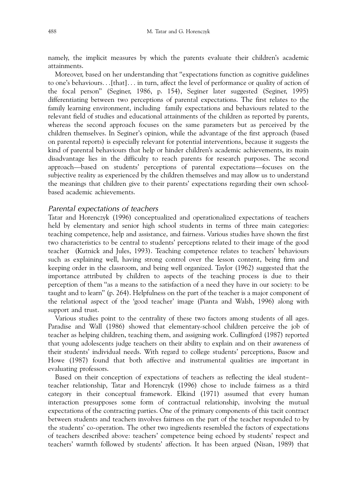namely, the implicit measures by which the parents evaluate their children's academic attainments.

Moreover, based on her understanding that "expectations function as cognitive guidelines to one's behaviours...[that]... in turn, affect the level of performance or quality of action of the focal person'' [\(Seginer, 1986,](#page-8-0) p. 154), Seginer later suggested [\(Seginer, 1995\)](#page-8-0) differentiating between two perceptions of parental expectations. The first relates to the family learning environment, including family expectations and behaviours related to the relevant field of studies and educational attainments of the children as reported by parents, whereas the second approach focuses on the same parameters but as perceived by the children themselves. In Seginer's opinion, while the advantage of the first approach (based on parental reports) is especially relevant for potential interventions, because it suggests the kind of parental behaviours that help or hinder children's academic achievements, its main disadvantage lies in the difficulty to reach parents for research purposes. The second approach—based on students' perceptions of parental expectations—focuses on the subjective reality as experienced by the children themselves and may allow us to understand the meanings that children give to their parents' expectations regarding their own schoolbased academic achievements.

#### Parental expectations of teachers

[Tatar and Horenczyk \(1996\)](#page-8-0) conceptualized and operationalized expectations of teachers held by elementary and senior high school students in terms of three main categories: teaching competence, help and assistance, and fairness. Various studies have shown the first two characteristics to be central to students' perceptions related to their image of the good teacher [\(Kutnick and Jules, 1993\)](#page-8-0). Teaching competence relates to teachers' behaviours such as explaining well, having strong control over the lesson content, being firm and keeping order in the classroom, and being well organized. [Taylor \(1962\)](#page-8-0) suggested that the importance attributed by children to aspects of the teaching process is due to their perception of them ``as a means to the satisfaction of a need they have in our society: to be taught and to learn'' (p. 264). Helpfulness on the part of the teacher is a major component of the relational aspect of the `good teacher' image [\(Pianta and Walsh, 1996\)](#page-8-0) along with support and trust.

Various studies point to the centrality of these two factors among students of all ages. [Paradise and Wall \(1986\)](#page-8-0) showed that elementary-school children perceive the job of teacher as helping children, teaching them, and assigning work. [Cullingford \(1987\)](#page-7-0) reported that young adolescents judge teachers on their ability to explain and on their awareness of their students' individual needs. With regard to college students' perceptions, [Basow and](#page-7-0) [Howe \(1987\)](#page-7-0) found that both affective and instrumental qualities are important in evaluating professors.

Based on their conception of expectations of teachers as reflecting the ideal studentteacher relationship, [Tatar and Horenczyk \(1996\)](#page-8-0) chose to include fairness as a third category in their conceptual framework. [Elkind \(1971\)](#page-7-0) assumed that every human interaction presupposes some form of contractual relationship, involving the mutual expectations of the contracting parties. One of the primary components of this tacit contract between students and teachers involves fairness on the part of the teacher responded to by the students' co-operation. The other two ingredients resembled the factors of expectations of teachers described above: teachers' competence being echoed by students' respect and teachers' warmth followed by students' affection. It has been argued [\(Nisan, 1989\)](#page-8-0) that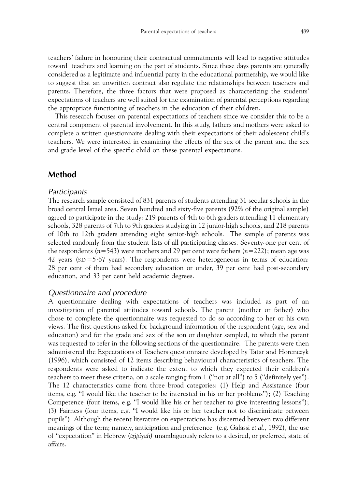teachers' failure in honouring their contractual commitments will lead to negative attitudes toward teachers and learning on the part of students. Since these days parents are generally considered as a legitimate and influential party in the educational partnership, we would like to suggest that an unwritten contract also regulate the relationships between teachers and parents. Therefore, the three factors that were proposed as characterizing the students' expectations of teachers are well suited for the examination of parental perceptions regarding the appropriate functioning of teachers in the education of their children.

This research focuses on parental expectations of teachers since we consider this to be a central component of parental involvement. In this study, fathers and mothers were asked to complete a written questionnaire dealing with their expectations of their adolescent child's teachers. We were interested in examining the effects of the sex of the parent and the sex and grade level of the specific child on these parental expectations.

## Method

#### **Participants**

The research sample consisted of 831 parents of students attending 31 secular schools in the broad central Israel area. Seven hundred and sixty-five parents (92% of the original sample) agreed to participate in the study: 219 parents of 4th to 6th graders attending 11 elementary schools, 328 parents of 7th to 9th graders studying in 12 junior-high schools, and 218 parents of 10th to 12th graders attending eight senior-high schools. The sample of parents was selected randomly from the student lists of all participating classes. Seventy-one per cent of the respondents ( $n=543$ ) were mothers and 29 per cent were fathers ( $n=222$ ); mean age was 42 years ( $SD = 5.67$  years). The respondents were heterogeneous in terms of education: 28 per cent of them had secondary education or under, 39 per cent had post-secondary education, and 33 per cent held academic degrees.

#### Questionnaire and procedure

A questionnaire dealing with expectations of teachers was included as part of an investigation of parental attitudes toward schools. The parent (mother or father) who chose to complete the questionnaire was requested to do so according to her or his own views. The first questions asked for background information of the respondent (age, sex and education) and for the grade and sex of the son or daughter sampled, to which the parent was requested to refer in the following sections of the questionnaire. The parents were then administered the Expectations of Teachers questionnaire developed by [Tatar and Horenczyk](#page-8-0) [\(1996\)](#page-8-0), which consisted of 12 items describing behavioural characteristics of teachers. The respondents were asked to indicate the extent to which they expected their children's teachers to meet these criteria, on a scale ranging from  $1$  ("not at all") to  $5$  ("definitely yes"). The 12 characteristics came from three broad categories: (1) Help and Assistance (four items, e.g. "I would like the teacher to be interested in his or her problems"); (2) Teaching Competence (four items, e.g. "I would like his or her teacher to give interesting lessons"); (3) Fairness (four items, e.g. ``I would like his or her teacher not to discriminate between pupils''). Although the recent literature on expectations has discerned between two different meanings of the term; namely, anticipation and preference (e.g. [Galassi](#page-7-0) *et al.*, 1992), the use of "expectation" in Hebrew (tzipiyah) unambiguously refers to a desired, or preferred, state of affairs.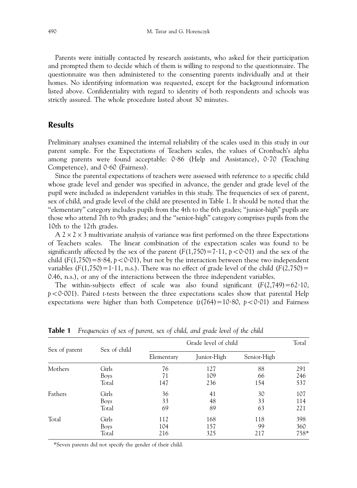Parents were initially contacted by research assistants, who asked for their participation and prompted them to decide which of them is willing to respond to the questionnaire. The questionnaire was then administered to the consenting parents individually and at their homes. No identifying information was requested, except for the background information listed above. Confidentiality with regard to identity of both respondents and schools was strictly assured. The whole procedure lasted about 30 minutes.

# **Results**

Preliminary analyses examined the internal reliability of the scales used in this study in our parent sample. For the Expectations of Teachers scales, the values of Cronbach's alpha among parents were found acceptable: 0?86 (Help and Assistance), 0?70 (Teaching Competence), and  $0.60$  (Fairness).

Since the parental expectations of teachers were assessed with reference to a specific child whose grade level and gender was specified in advance, the gender and grade level of the pupil were included as independent variables in this study. The frequencies of sex of parent, sex of child, and grade level of the child are presented in Table 1. It should be noted that the ``elementary'' category includes pupils from the 4th to the 6th grades; ``junior-high'' pupils are those who attend 7th to 9th grades; and the "senior-high" category comprises pupils from the 10th to the 12th grades.

 $A$  2  $\times$  2  $\times$  3 multivariate analysis of variance was first performed on the three Expectations of Teachers scales. The linear combination of the expectation scales was found to be significantly affected by the sex of the parent  $(F(1,750)=7.11, p<0.01)$  and the sex of the child  $(F(1,750)=8.84, p<0.01)$ , but not by the interaction between these two independent variables  $(F(1,750)=1.11, n.s.).$  There was no effect of grade level of the child  $(F(2,750)=$ 0.46, n.s.), or any of the interactions between the three independent variables.

The within-subjects effect of scale was also found significant  $(F(2,749)=62.10,$  $p<0.001$ ). Paired t-tests between the three expectations scales show that parental Help expectations were higher than both Competence  $(t(764)=10.80, p<0.01)$  and Fairness

| Sex of parent | Sex of child | Grade level of child |             |             | Total |
|---------------|--------------|----------------------|-------------|-------------|-------|
|               |              | Elementary           | Junior-High | Senior-High |       |
| Mothers       | Girls        | 76                   | 127         | 88          | 291   |
|               | Boys         | 71                   | 109         | 66          | 246   |
|               | Total        | 147                  | 236         | 154         | 537   |
| Fathers       | Girls        | 36                   | 41          | 30          | 107   |
|               | Boys         | 33                   | 48          | 33          | 114   |
|               | Total        | 69                   | 89          | 63          | 221   |
| Total         | Girls        | 112                  | 168         | 118         | 398   |
|               | Boys         | 104                  | 157         | 99          | 360   |
|               | Total        | 216                  | 325         | 217         | 758*  |

**Table 1** Frequencies of sex of parent, sex of child, and grade level of the child

\*Seven parents did not specify the gender of their child.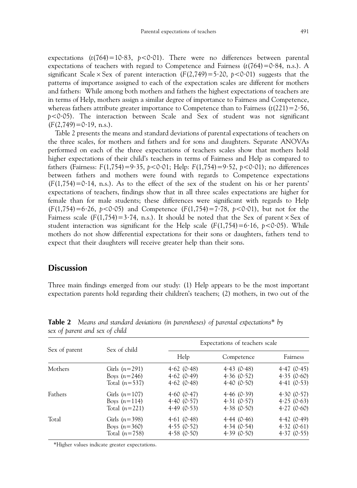<span id="page-4-0"></span>expectations  $(t(764)=10.83, p<0.01)$ . There were no differences between parental expectations of teachers with regard to Competence and Fairness  $(t(764)=0.84, n.s.).$  A significant Scale  $\times$  Sex of parent interaction (F(2,749)=5.20, p <0.01) suggests that the patterns of importance assigned to each of the expectation scales are different for mothers and fathers: While among both mothers and fathers the highest expectations of teachers are in terms of Help, mothers assign a similar degree of importance to Fairness and Competence, whereas fathers attribute greater importance to Competence than to Fairness  $(t(221)=2.56$ ,  $p < 0.05$ ). The interaction between Scale and Sex of student was not significant  $(F(2,749)=0.19, n.s.).$ 

Table 2 presents the means and standard deviations of parental expectations of teachers on the three scales, for mothers and fathers and for sons and daughters. Separate ANOVAs performed on each of the three expectations of teachers scales show that mothers hold higher expectations of their child's teachers in terms of Fairness and Help as compared to fathers (Fairness:  $F(1,754) = 9.35$ ,  $p < 0.01$ ; Help:  $F(1,754) = 9.52$ ,  $p < 0.01$ ); no differences between fathers and mothers were found with regards to Competence expectations  $(F(1,754)=0.14, n.s.).$  As to the effect of the sex of the student on his or her parents' expectations of teachers, findings show that in all three scales expectations are higher for female than for male students; these differences were significant with regards to Help  $(F(1,754)=6.26, p<0.05)$  and Competence  $(F(1,754)=7.78, p<0.01)$ , but not for the Fairness scale  $(F(1,754)=3.74, n.s.).$  It should be noted that the Sex of parent  $\times$  Sex of student interaction was significant for the Help scale  $(F(1,754)=6.16, p<0.05)$ . While mothers do not show differential expectations for their sons or daughters, fathers tend to expect that their daughters will receive greater help than their sons.

### **Discussion**

Three main findings emerged from our study: (1) Help appears to be the most important expectation parents hold regarding their children's teachers; (2) mothers, in two out of the

| Sex of parent |                 | Expectations of teachers scale |            |            |  |
|---------------|-----------------|--------------------------------|------------|------------|--|
|               | Sex of child    | Help                           | Competence | Fairness   |  |
| Mothers       | Girls $(n=291)$ | 4.62(0.48)                     | 4.43(0.48) | 4.47(0.45) |  |
|               | Boys $(n=246)$  | 4.62(0.49)                     | 4.36(0.52) | 4.35(0.60) |  |
|               | Total $(n=537)$ | 4.62(0.48)                     | 4.40(0.50) | 4.41(0.53) |  |
| Fathers       | Girls $(n=107)$ | 4.60(0.47)                     | 4.46(0.39) | 4.30(0.57) |  |
|               | Boys $(n=114)$  | 4.40(0.57)                     | 4.31(0.57) | 4.25(0.63) |  |
|               | Total $(n=221)$ | 4.49(0.53)                     | 4.38(0.50) | 4.27(0.60) |  |
| Total         | Girls $(n=398)$ | 4.61(0.48)                     | 4.44(0.46) | 4.42(0.49) |  |
|               | Boys $(n=360)$  | 4.55(0.52)                     | 4.34(0.54) | 4.32(0.61) |  |
|               | Total $(n=758)$ | 4.58(0.50)                     | 4.39(0.50) | 4.37(0.55) |  |

Table 2 Means and standard deviations (in parentheses) of parental expectations\* by sex of parent and sex of child

\*Higher values indicate greater expectations.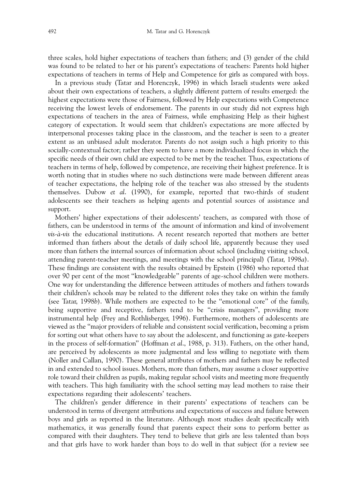three scales, hold higher expectations of teachers than fathers; and (3) gender of the child was found to be related to her or his parent's expectations of teachers: Parents hold higher expectations of teachers in terms of Help and Competence for girls as compared with boys.

In a previous study [\(Tatar and Horenczyk, 1996\)](#page-8-0) in which Israeli students were asked about their own expectations of teachers, a slightly different pattern of results emerged: the highest expectations were those of Fairness, followed by Help expectations with Competence receiving the lowest levels of endorsement. The parents in our study did not express high expectations of teachers in the area of Fairness, while emphasizing Help as their highest category of expectation. It would seem that children's expectations are more affected by interpersonal processes taking place in the classroom, and the teacher is seen to a greater extent as an unbiased adult moderator. Parents do not assign such a high priority to this socially-contextual factor; rather they seem to have a more individualized focus in which the specific needs of their own child are expected to be met by the teacher. Thus, expectations of teachers in terms of help, followed by competence, are receiving their highest preference. It is worth noting that in studies where no such distinctions were made between different areas of teacher expectations, the helping role of the teacher was also stressed by the students themselves. Dubow et al[. \(1990\)](#page-7-0), for example, reported that two-thirds of student adolescents see their teachers as helping agents and potential sources of assistance and support.

Mothers' higher expectations of their adolescents' teachers, as compared with those of fathers, can be understood in terms of the amount of information and kind of involvement  $vis-\dot{a}-vis$  the educational institutions. A recent research reported that mothers are better informed than fathers about the details of daily school life, apparently because they used more than fathers the internal sources of information about school (including visiting school, attending parent-teacher meetings, and meetings with the school principal) [\(Tatar, 1998](#page-8-0)a). These findings are consistent with the results obtained by [Epstein \(1986\)](#page-7-0) who reported that over 90 per cent of the most "knowledgeable" parents of age-school children were mothers. One way for understanding the difference between attitudes of mothers and fathers towards their children's schools may be related to the different roles they take on within the family (see [Tatar, 1998](#page-8-0)b). While mothers are expected to be the "emotional core" of the family, being supportive and receptive, fathers tend to be "crisis managers", providing more instrumental help [\(Frey and Rothlisberger, 1996\)](#page-7-0). Furthermore, mothers of adolescents are viewed as the ``major providers of reliable and consistent social verification, becoming a prism for sorting out what others have to say about the adolescent, and functioning as gate-keepers in the process of self-formation'' [\(Hoffman](#page-8-0) et al., 1988, p. 313). Fathers, on the other hand, are perceived by adolescents as more judgmental and less willing to negotiate with them [\(Noller and Callan, 1990\)](#page-8-0). These general attributes of mothers and fathers may be reflected in and extended to school issues. Mothers, more than fathers, may assume a closer supportive role toward their children as pupils, making regular school visits and meeting more frequently with teachers. This high familiarity with the school setting may lead mothers to raise their expectations regarding their adolescents' teachers.

The children's gender difference in their parents' expectations of teachers can be understood in terms of divergent attributions and expectations of success and failure between boys and girls as reported in the literature. Although most studies dealt specifically with mathematics, it was generally found that parents expect their sons to perform better as compared with their daughters. They tend to believe that girls are less talented than boys and that girls have to work harder than boys to do well in that subject (for a review see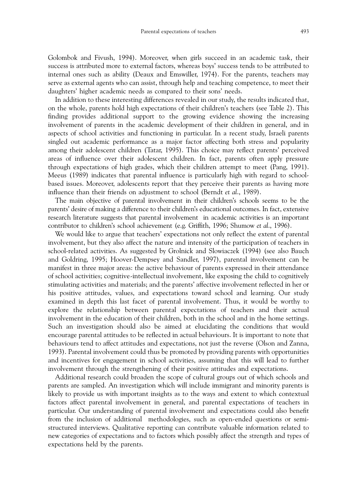[Golombok and Fivush, 1994\)](#page-7-0). Moreover, when girls succeed in an academic task, their success is attributed more to external factors, whereas boys' success tends to be attributed to internal ones such as ability [\(Deaux and Emswiller, 1974\)](#page-7-0). For the parents, teachers may serve as external agents who can assist, through help and teaching competence, to meet their daughters' higher academic needs as compared to their sons' needs.

In addition to these interesting differences revealed in our study, the results indicated that, on the whole, parents hold high expectations of their children's teachers (see [Table 2\)](#page-4-0). This finding provides additional support to the growing evidence showing the increasing involvement of parents in the academic development of their children in general, and in aspects of school activities and functioning in particular. In a recent study, Israeli parents singled out academic performance as a major factor affecting both stress and popularity among their adolescent children [\(Tatar, 1995\)](#page-8-0). This choice may reflect parents' perceived areas of influence over their adolescent children. In fact, parents often apply pressure through expectations of high grades, which their children attempt to meet [\(Pang, 1991\)](#page-8-0). [Meeus \(1989\)](#page-8-0) indicates that parental influence is particularly high with regard to schoolbased issues. Moreover, adolescents report that they perceive their parents as having more influence than their friends on adjustment to school [\(Berndt](#page-7-0) et al., 1989).

The main objective of parental involvement in their children's schools seems to be the parents' desire of making a difference to their children's educational outcomes. In fact, extensive research literature suggests that parental involvement in academic activities is an important contributor to children's school achievement (e.g. [Griffith, 1996;](#page-7-0) [Shumow](#page-8-0) et al., 1996).

We would like to argue that teachers' expectations not only reflect the extent of parental involvement, but they also affect the nature and intensity of the participation of teachers in school-related activities. As suggested by [Grolnick and Slowiaczek \(1994\)](#page-8-0) (see also [Bauch](#page-7-0) [and Goldring, 1995](#page-7-0); [Hoover-Dempsey and Sandler, 1997\)](#page-8-0), parental involvement can be manifest in three major areas: the active behaviour of parents expressed in their attendance of school activities; cognitive-intellectual involvement, like exposing the child to cognitively stimulating activities and materials; and the parents' affective involvement reflected in her or his positive attitudes, values, and expectations toward school and learning. Our study examined in depth this last facet of parental involvement. Thus, it would be worthy to explore the relationship between parental expectations of teachers and their actual involvement in the education of their children, both in the school and in the home settings. Such an investigation should also be aimed at elucidating the conditions that would encourage parental attitudes to be reflected in actual behaviours. It is important to note that behaviours tend to affect attitudes and expectations, not just the reverse [\(Olson and Zanna,](#page-8-0) [1993\)](#page-8-0). Parental involvement could thus be promoted by providing parents with opportunities and incentives for engagement in school activities, assuming that this will lead to further involvement through the strengthening of their positive attitudes and expectations.

Additional research could broaden the scope of cultural groups out of which schools and parents are sampled. An investigation which will include immigrant and minority parents is likely to provide us with important insights as to the ways and extent to which contextual factors affect parental involvement in general, and parental expectations of teachers in particular. Our understanding of parental involvement and expectations could also benefit from the inclusion of additional methodologies, such as open-ended questions or semistructured interviews. Qualitative reporting can contribute valuable information related to new categories of expectations and to factors which possibly affect the strength and types of expectations held by the parents.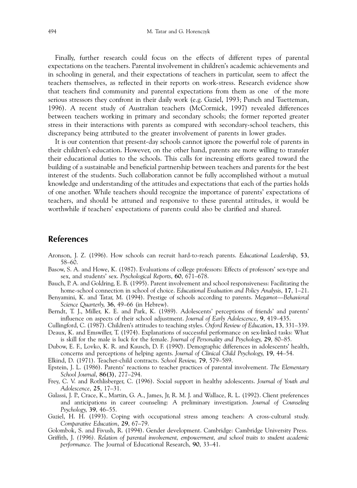<span id="page-7-0"></span>Finally, further research could focus on the effects of different types of parental expectations on the teachers. Parental involvement in children's academic achievements and in schooling in general, and their expectations of teachers in particular, seem to affect the teachers themselves, as reflected in their reports on work-stress. Research evidence show that teachers find community and parental expectations from them as one of the more serious stressors they confront in their daily work (e.g. Gaziel, 1993; [Punch and Tuetteman,](#page-8-0) [1996\)](#page-8-0). A recent study of Australian teachers [\(McCormick, 1997\)](#page-8-0) revealed differences between teachers working in primary and secondary schools; the former reported greater stress in their interactions with parents as compared with secondary-school teachers, this discrepancy being attributed to the greater involvement of parents in lower grades.

It is our contention that present-day schools cannot ignore the powerful role of parents in their children's education. However, on the other hand, parents are more willing to transfer their educational duties to the schools. This calls for increasing efforts geared toward the building of a sustainable and beneficial partnership between teachers and parents for the best interest of the students. Such collaboration cannot be fully accomplished without a mutual knowledge and understanding of the attitudes and expectations that each of the parties holds of one another. While teachers should recognize the importance of parents' expectations of teachers, and should be attuned and responsive to these parental attitudes, it would be worthwhile if teachers' expectations of parents could also be clarified and shared.

### References

- Aronson, J. Z. (1996). How schools can recruit hard-to-reach parents. Educational Leadership, 53, 58±60.
- Basow, S. A. and Howe, K. (1987). Evaluations of college professors: Effects of professors' sex-type and sex, and students' sex. Psychological Reports, 60, 671–678.
- Bauch, P. A. and Goldring, E. B. (1995). Parent involvement and school responsiveness: Facilitating the home-school connection in school of choice. Educational Evaluation and Policy Analysis, 17, 1–21.
- Benyamini, K. and Tatar, M. (1994). Prestige of schools according to parents. Megamot—Behavioral Science Quarterly, 36, 49-66 (in Hebrew).
- Berndt, T. J., Miller, K. E. and Park, K. (1989). Adolescents' perceptions of friends' and parents' influence on aspects of their school adjustment. Journal of Early Adolescence,  $9, 419-435$ .
- Cullingford, C. (1987). Children's attitudes to teaching styles. Oxford Review of Education, 13, 331–339.
- Deaux, K. and Emswiller, T. (1974). Explanations of successful performance on sex-linked tasks: What is skill for the male is luck for the female. Journal of Personality and Psychology, 29, 80–85.
- Dubow, E. F., Lovko, K. R. and Kausch, D. F. (1990). Demographic differences in adolescents' health, concerns and perceptions of helping agents. Journal of Clinical Child Psychology, 19, 44–54.

Elkind, D. (1971). Teacher-child contracts. School Review, 79, 579–589.

Epstein, J. L. (1986). Parents' reactions to teacher practices of parental involvement. The Elementary School Journal, 86(3), 277-294.

- Frey, C. V. and Rothlisberger, C. (1996). Social support in healthy adolescents. Journal of Youth and Adolescence, **25**, 17–31.
- Galassi, J. P., Crace, K., Martin, G. A., James, Jr, R. M. J. and Wallace, R. L. (1992). Client preferences and anticipations in career counseling: A preliminary investigation. Journal of Counseling Psychology,  $39, 46-55$ .
- Gaziel, H. H. (1993). Coping with occupational stress among teachers: A cross-cultural study. Comparative Education, 29, 67-79.
- Golombok, S. and Fivush, R. (1994). Gender development. Cambridge: Cambridge University Press.
- Griffith, J. (1996). Relation of parental involvement, empowerment, and school traits to student academic performance. The Journal of Educational Research, 90, 33–41.